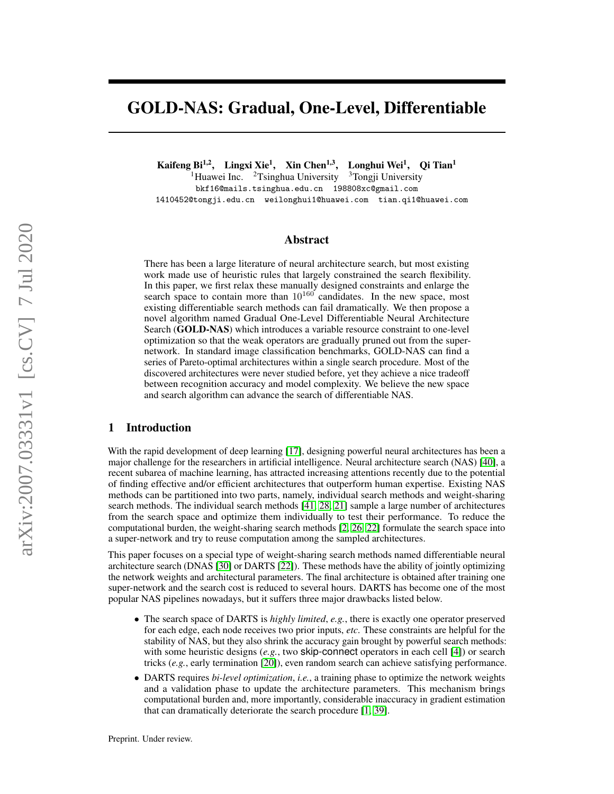# GOLD-NAS: Gradual, One-Level, Differentiable

Kaifeng Bi<sup>1,2</sup>, Lingxi Xie<sup>1</sup>, Xin Chen<sup>1,3</sup>, Longhui Wei<sup>1</sup>, Qi Tian<sup>1</sup>

<sup>1</sup>Huawei Inc. <sup>2</sup>Tsinghua University <sup>3</sup>Tongji University

bkf16@mails.tsinghua.edu.cn 198808xc@gmail.com 1410452@tongji.edu.cn weilonghui1@huawei.com tian.qi1@huawei.com

### Abstract

There has been a large literature of neural architecture search, but most existing work made use of heuristic rules that largely constrained the search flexibility. In this paper, we first relax these manually designed constraints and enlarge the search space to contain more than  $10^{160}$  candidates. In the new space, most existing differentiable search methods can fail dramatically. We then propose a novel algorithm named Gradual One-Level Differentiable Neural Architecture Search (GOLD-NAS) which introduces a variable resource constraint to one-level optimization so that the weak operators are gradually pruned out from the supernetwork. In standard image classification benchmarks, GOLD-NAS can find a series of Pareto-optimal architectures within a single search procedure. Most of the discovered architectures were never studied before, yet they achieve a nice tradeoff between recognition accuracy and model complexity. We believe the new space and search algorithm can advance the search of differentiable NAS.

### 1 Introduction

With the rapid development of deep learning [\[17\]](#page-9-0), designing powerful neural architectures has been a major challenge for the researchers in artificial intelligence. Neural architecture search (NAS) [\[40\]](#page-10-0), a recent subarea of machine learning, has attracted increasing attentions recently due to the potential of finding effective and/or efficient architectures that outperform human expertise. Existing NAS methods can be partitioned into two parts, namely, individual search methods and weight-sharing search methods. The individual search methods [\[41,](#page-10-1) [28,](#page-9-1) [21\]](#page-9-2) sample a large number of architectures from the search space and optimize them individually to test their performance. To reduce the computational burden, the weight-sharing search methods [\[2,](#page-8-0) [26,](#page-9-3) [22\]](#page-9-4) formulate the search space into a super-network and try to reuse computation among the sampled architectures.

This paper focuses on a special type of weight-sharing search methods named differentiable neural architecture search (DNAS [\[30\]](#page-9-5) or DARTS [\[22\]](#page-9-4)). These methods have the ability of jointly optimizing the network weights and architectural parameters. The final architecture is obtained after training one super-network and the search cost is reduced to several hours. DARTS has become one of the most popular NAS pipelines nowadays, but it suffers three major drawbacks listed below.

- The search space of DARTS is *highly limited*, *e.g.*, there is exactly one operator preserved for each edge, each node receives two prior inputs, *etc*. These constraints are helpful for the stability of NAS, but they also shrink the accuracy gain brought by powerful search methods: with some heuristic designs (*e.g.*, two **skip-connect** operators in each cell [\[4\]](#page-8-1)) or search tricks (*e.g.*, early termination [\[20\]](#page-9-6)), even random search can achieve satisfying performance.
- DARTS requires *bi-level optimization*, *i.e.*, a training phase to optimize the network weights and a validation phase to update the architecture parameters. This mechanism brings computational burden and, more importantly, considerable inaccuracy in gradient estimation that can dramatically deteriorate the search procedure [\[1,](#page-8-2) [39\]](#page-10-2).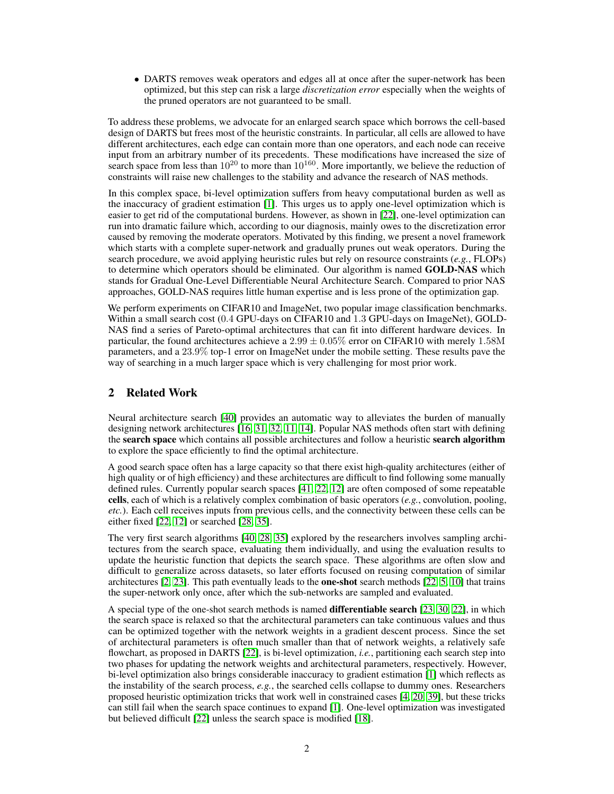• DARTS removes weak operators and edges all at once after the super-network has been optimized, but this step can risk a large *discretization error* especially when the weights of the pruned operators are not guaranteed to be small.

To address these problems, we advocate for an enlarged search space which borrows the cell-based design of DARTS but frees most of the heuristic constraints. In particular, all cells are allowed to have different architectures, each edge can contain more than one operators, and each node can receive input from an arbitrary number of its precedents. These modifications have increased the size of search space from less than  $10^{20}$  to more than  $10^{160}$ . More importantly, we believe the reduction of constraints will raise new challenges to the stability and advance the research of NAS methods.

In this complex space, bi-level optimization suffers from heavy computational burden as well as the inaccuracy of gradient estimation [\[1\]](#page-8-2). This urges us to apply one-level optimization which is easier to get rid of the computational burdens. However, as shown in [\[22\]](#page-9-4), one-level optimization can run into dramatic failure which, according to our diagnosis, mainly owes to the discretization error caused by removing the moderate operators. Motivated by this finding, we present a novel framework which starts with a complete super-network and gradually prunes out weak operators. During the search procedure, we avoid applying heuristic rules but rely on resource constraints (*e.g.*, FLOPs) to determine which operators should be eliminated. Our algorithm is named **GOLD-NAS** which stands for Gradual One-Level Differentiable Neural Architecture Search. Compared to prior NAS approaches, GOLD-NAS requires little human expertise and is less prone of the optimization gap.

We perform experiments on CIFAR10 and ImageNet, two popular image classification benchmarks. Within a small search cost (0.4 GPU-days on CIFAR10 and 1.3 GPU-days on ImageNet), GOLD-NAS find a series of Pareto-optimal architectures that can fit into different hardware devices. In particular, the found architectures achieve a  $2.99 \pm 0.05\%$  error on CIFAR10 with merely 1.58M parameters, and a 23.9% top-1 error on ImageNet under the mobile setting. These results pave the way of searching in a much larger space which is very challenging for most prior work.

# 2 Related Work

Neural architecture search [\[40\]](#page-10-0) provides an automatic way to alleviates the burden of manually designing network architectures [\[16,](#page-9-7) [31,](#page-9-8) [32,](#page-9-9) [11,](#page-9-10) [14\]](#page-9-11). Popular NAS methods often start with defining the search space which contains all possible architectures and follow a heuristic search algorithm to explore the space efficiently to find the optimal architecture.

A good search space often has a large capacity so that there exist high-quality architectures (either of high quality or of high efficiency) and these architectures are difficult to find following some manually defined rules. Currently popular search spaces [\[41,](#page-10-1) [22,](#page-9-4) [12\]](#page-9-12) are often composed of some repeatable cells, each of which is a relatively complex combination of basic operators (*e.g.*, convolution, pooling, *etc.*). Each cell receives inputs from previous cells, and the connectivity between these cells can be either fixed [\[22,](#page-9-4) [12\]](#page-9-12) or searched [\[28,](#page-9-1) [35\]](#page-9-13).

The very first search algorithms [\[40,](#page-10-0) [28,](#page-9-1) [35\]](#page-9-13) explored by the researchers involves sampling architectures from the search space, evaluating them individually, and using the evaluation results to update the heuristic function that depicts the search space. These algorithms are often slow and difficult to generalize across datasets, so later efforts focused on reusing computation of similar architectures  $[2, 23]$  $[2, 23]$  $[2, 23]$ . This path eventually leads to the **one-shot** search methods  $[22, 5, 10]$  $[22, 5, 10]$  $[22, 5, 10]$  $[22, 5, 10]$  $[22, 5, 10]$  that trains the super-network only once, after which the sub-networks are sampled and evaluated.

A special type of the one-shot search methods is named differentiable search [\[23,](#page-9-14) [30,](#page-9-5) [22\]](#page-9-4), in which the search space is relaxed so that the architectural parameters can take continuous values and thus can be optimized together with the network weights in a gradient descent process. Since the set of architectural parameters is often much smaller than that of network weights, a relatively safe flowchart, as proposed in DARTS [\[22\]](#page-9-4), is bi-level optimization, *i.e.*, partitioning each search step into two phases for updating the network weights and architectural parameters, respectively. However, bi-level optimization also brings considerable inaccuracy to gradient estimation [\[1\]](#page-8-2) which reflects as the instability of the search process, *e.g.*, the searched cells collapse to dummy ones. Researchers proposed heuristic optimization tricks that work well in constrained cases [\[4,](#page-8-1) [20,](#page-9-6) [39\]](#page-10-2), but these tricks can still fail when the search space continues to expand [\[1\]](#page-8-2). One-level optimization was investigated but believed difficult [\[22\]](#page-9-4) unless the search space is modified [\[18\]](#page-9-16).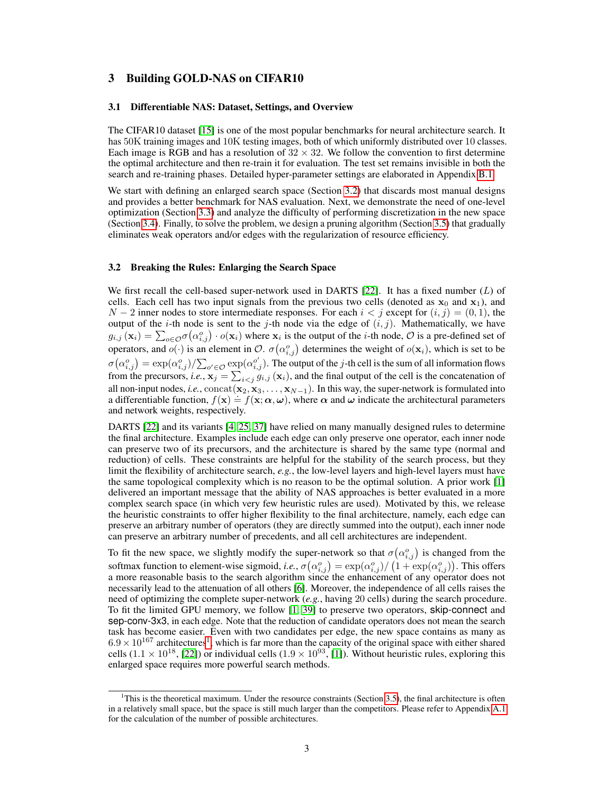### 3 Building GOLD-NAS on CIFAR10

#### 3.1 Differentiable NAS: Dataset, Settings, and Overview

The CIFAR10 dataset [\[15\]](#page-9-17) is one of the most popular benchmarks for neural architecture search. It has 50K training images and 10K testing images, both of which uniformly distributed over 10 classes. Each image is RGB and has a resolution of  $32 \times 32$ . We follow the convention to first determine the optimal architecture and then re-train it for evaluation. The test set remains invisible in both the search and re-training phases. Detailed hyper-parameter settings are elaborated in Appendix [B.1.](#page-11-0)

We start with defining an enlarged search space (Section [3.2\)](#page-2-0) that discards most manual designs and provides a better benchmark for NAS evaluation. Next, we demonstrate the need of one-level optimization (Section [3.3\)](#page-3-0) and analyze the difficulty of performing discretization in the new space (Section [3.4\)](#page-3-1). Finally, to solve the problem, we design a pruning algorithm (Section [3.5\)](#page-4-0) that gradually eliminates weak operators and/or edges with the regularization of resource efficiency.

#### <span id="page-2-0"></span>3.2 Breaking the Rules: Enlarging the Search Space

We first recall the cell-based super-network used in DARTS [\[22\]](#page-9-4). It has a fixed number  $(L)$  of cells. Each cell has two input signals from the previous two cells (denoted as  $x_0$  and  $x_1$ ), and  $N-2$  inner nodes to store intermediate responses. For each  $i < j$  except for  $(i, j) = (0, 1)$ , the output of the *i*-th node is sent to the *j*-th node via the edge of  $(i, j)$ . Mathematically, we have  $g_{i,j}(\mathbf{x}_i) = \sum_{o \in \mathcal{O}} \sigma(\alpha_{i,j}^o) \cdot o(\mathbf{x}_i)$  where  $\mathbf{x}_i$  is the output of the *i*-th node,  $\mathcal{O}$  is a pre-defined set of operators, and  $o(\cdot)$  is an element in  $\mathcal{O}$ .  $\sigma(\alpha_{i,j}^o)$  determines the weight of  $o(\mathbf{x}_i)$ , which is set to be  $\sigma(\alpha_{i,j}^o) = \exp(\alpha_{i,j}^o)/\sum_{o' \in \mathcal{O}} \exp(\alpha_{i,j}^{o'})$ . The output of the j-th cell is the sum of all information flows from the precursors, *i.e.*,  $\mathbf{x}_j = \sum_{i \le j} g_{i,j}(\mathbf{x}_i)$ , and the final output of the cell is the concatenation of all non-input nodes, *i.e.*,  $concat(x_2, x_3, \ldots, x_{N-1})$ . In this way, the super-network is formulated into an non-input nodes, i.e., concar( $\mathbf{x}_2, \mathbf{x}_3, \dots, \mathbf{x}_{N-1}$ ). In this way, the super-network is formulated into<br>a differentiable function,  $f(\mathbf{x}) = f(\mathbf{x}; \alpha, \omega)$ , where  $\alpha$  and  $\omega$  indicate the architectural parameters and network weights, respectively.

DARTS [\[22\]](#page-9-4) and its variants [\[4,](#page-8-1) [25,](#page-9-18) [37\]](#page-10-3) have relied on many manually designed rules to determine the final architecture. Examples include each edge can only preserve one operator, each inner node can preserve two of its precursors, and the architecture is shared by the same type (normal and reduction) of cells. These constraints are helpful for the stability of the search process, but they limit the flexibility of architecture search, *e.g.*, the low-level layers and high-level layers must have the same topological complexity which is no reason to be the optimal solution. A prior work [\[1\]](#page-8-2) delivered an important message that the ability of NAS approaches is better evaluated in a more complex search space (in which very few heuristic rules are used). Motivated by this, we release the heuristic constraints to offer higher flexibility to the final architecture, namely, each edge can preserve an arbitrary number of operators (they are directly summed into the output), each inner node can preserve an arbitrary number of precedents, and all cell architectures are independent.

To fit the new space, we slightly modify the super-network so that  $\sigma(\alpha_{i,j}^o)$  is changed from the softmax function to element-wise sigmoid, *i.e.*,  $\sigma(\alpha_{i,j}^o) = \exp(\alpha_{i,j}^o) / (1 + \exp(\alpha_{i,j}^o))$ . This offers a more reasonable basis to the search algorithm since the enhancement of any operator does not necessarily lead to the attenuation of all others [\[6\]](#page-8-4). Moreover, the independence of all cells raises the need of optimizing the complete super-network (*e.g.*, having 20 cells) during the search procedure. To fit the limited GPU memory, we follow [\[1,](#page-8-2) [39\]](#page-10-2) to preserve two operators, skip-connect and sep-conv-3x3, in each edge. Note that the reduction of candidate operators does not mean the search task has become easier. Even with two candidates per edge, the new space contains as many as  $6.9 \times 10^{167}$  $6.9 \times 10^{167}$  $6.9 \times 10^{167}$  architectures<sup>1</sup>, which is far more than the capacity of the original space with either shared cells  $(1.1 \times 10^{18}$ , [\[22\]](#page-9-4)) or individual cells  $(1.9 \times 10^{93}$ , [\[1\]](#page-8-2)). Without heuristic rules, exploring this enlarged space requires more powerful search methods.

<span id="page-2-1"></span> $1$ This is the theoretical maximum. Under the resource constraints (Section [3.5\)](#page-4-0), the final architecture is often in a relatively small space, but the space is still much larger than the competitors. Please refer to Appendix [A.1](#page-10-4) for the calculation of the number of possible architectures.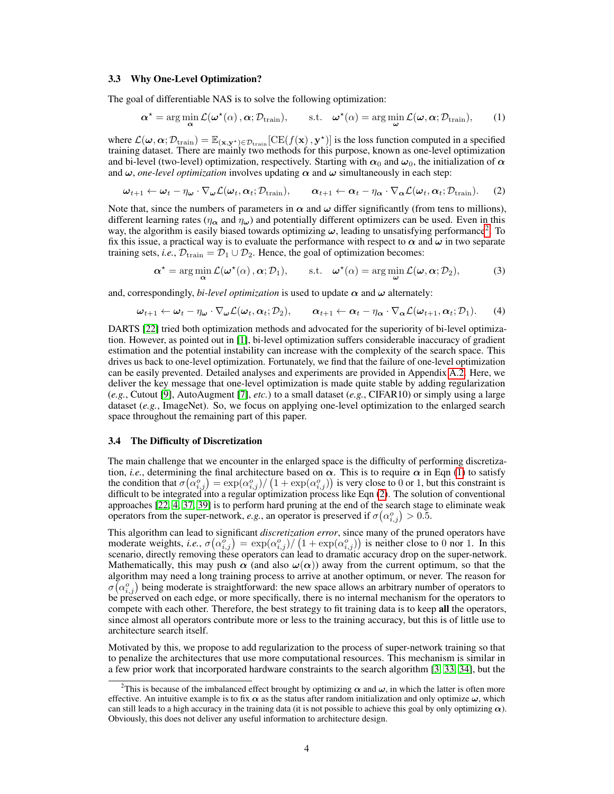#### <span id="page-3-0"></span>3.3 Why One-Level Optimization?

The goal of differentiable NAS is to solve the following optimization:

<span id="page-3-3"></span>
$$
\boldsymbol{\alpha}^* = \arg\min_{\boldsymbol{\alpha}} \mathcal{L}(\boldsymbol{\omega}^*(\alpha), \boldsymbol{\alpha}; \mathcal{D}_{\text{train}}), \qquad \text{s.t.} \quad \boldsymbol{\omega}^*(\alpha) = \arg\min_{\boldsymbol{\omega}} \mathcal{L}(\boldsymbol{\omega}, \boldsymbol{\alpha}; \mathcal{D}_{\text{train}}), \qquad (1)
$$

where  $\mathcal{L}(\omega,\alpha;\mathcal{D}_{\text{train}}) = \mathbb{E}_{(\mathbf{x},\mathbf{y}^*)\in\mathcal{D}_{\text{train}}}[\text{CE}(f(\mathbf{x}), \mathbf{y}^*)]$  is the loss function computed in a specified training dataset. There are mainly two methods for this purpose, known as one-level optimization and bi-level (two-level) optimization, respectively. Starting with  $\alpha_0$  and  $\omega_0$ , the initialization of  $\alpha$ and  $\omega$ , *one-level optimization* involves updating  $\alpha$  and  $\omega$  simultaneously in each step:

$$
\boldsymbol{\omega}_{t+1} \leftarrow \boldsymbol{\omega}_t - \eta_{\boldsymbol{\omega}} \cdot \nabla_{\boldsymbol{\omega}} \mathcal{L}(\boldsymbol{\omega}_t, \boldsymbol{\alpha}_t; \mathcal{D}_{\text{train}}), \qquad \boldsymbol{\alpha}_{t+1} \leftarrow \boldsymbol{\alpha}_t - \eta_{\boldsymbol{\alpha}} \cdot \nabla_{\boldsymbol{\alpha}} \mathcal{L}(\boldsymbol{\omega}_t, \boldsymbol{\alpha}_t; \mathcal{D}_{\text{train}}). \tag{2}
$$

Note that, since the numbers of parameters in  $\alpha$  and  $\omega$  differ significantly (from tens to millions), different learning rates ( $\eta_{\alpha}$  and  $\eta_{\omega}$ ) and potentially different optimizers can be used. Even in this way, the algorithm is easily biased towards optimizing  $\omega$ , leading to unsatisfying performance<sup>[2](#page-3-2)</sup>. To fix this issue, a practical way is to evaluate the performance with respect to  $\alpha$  and  $\omega$  in two separate training sets, *i.e.*,  $\mathcal{D}_{\text{train}} = \mathcal{D}_1 \cup \mathcal{D}_2$ . Hence, the goal of optimization becomes:

<span id="page-3-4"></span>
$$
\boldsymbol{\alpha}^* = \arg\min_{\boldsymbol{\alpha}} \mathcal{L}(\boldsymbol{\omega}^*(\alpha), \boldsymbol{\alpha}; \mathcal{D}_1), \qquad \text{s.t.} \quad \boldsymbol{\omega}^*(\alpha) = \arg\min_{\boldsymbol{\omega}} \mathcal{L}(\boldsymbol{\omega}, \boldsymbol{\alpha}; \mathcal{D}_2), \tag{3}
$$

and, correspondingly, *bi-level optimization* is used to update  $\alpha$  and  $\omega$  alternately:

$$
\boldsymbol{\omega}_{t+1} \leftarrow \boldsymbol{\omega}_t - \eta_{\boldsymbol{\omega}} \cdot \nabla_{\boldsymbol{\omega}} \mathcal{L}(\boldsymbol{\omega}_t, \boldsymbol{\alpha}_t; \mathcal{D}_2), \qquad \boldsymbol{\alpha}_{t+1} \leftarrow \boldsymbol{\alpha}_t - \eta_{\boldsymbol{\alpha}} \cdot \nabla_{\boldsymbol{\alpha}} \mathcal{L}(\boldsymbol{\omega}_{t+1}, \boldsymbol{\alpha}_t; \mathcal{D}_1). \qquad (4)
$$

DARTS [\[22\]](#page-9-4) tried both optimization methods and advocated for the superiority of bi-level optimization. However, as pointed out in [\[1\]](#page-8-2), bi-level optimization suffers considerable inaccuracy of gradient estimation and the potential instability can increase with the complexity of the search space. This drives us back to one-level optimization. Fortunately, we find that the failure of one-level optimization can be easily prevented. Detailed analyses and experiments are provided in Appendix [A.2.](#page-10-5) Here, we deliver the key message that one-level optimization is made quite stable by adding regularization (*e.g.*, Cutout [\[9\]](#page-8-5), AutoAugment [\[7\]](#page-8-6), *etc.*) to a small dataset (*e.g.*, CIFAR10) or simply using a large dataset (*e.g.*, ImageNet). So, we focus on applying one-level optimization to the enlarged search space throughout the remaining part of this paper.

#### <span id="page-3-1"></span>3.4 The Difficulty of Discretization

The main challenge that we encounter in the enlarged space is the difficulty of performing discretization, *i.e.*, determining the final architecture based on  $\alpha$ . This is to require  $\alpha$  in Eqn [\(1\)](#page-3-3) to satisfy the condition that  $\sigma(\alpha_{i,j}^o) = \exp(\alpha_{i,j}^o) / (1 + \exp(\alpha_{i,j}^o))$  is very close to 0 or 1, but this constraint is difficult to be integrated into a regular optimization process like Eqn [\(2\)](#page-3-4). The solution of conventional approaches [\[22,](#page-9-4) [4,](#page-8-1) [37,](#page-10-3) [39\]](#page-10-2) is to perform hard pruning at the end of the search stage to eliminate weak operators from the super-network, *e.g.*, an operator is preserved if  $\sigma(\alpha_{i,j}^o) > 0.5$ .

This algorithm can lead to significant *discretization error*, since many of the pruned operators have moderate weights, *i.e.*,  $\sigma(\alpha_{i,j}^{\sigma}) = \exp(\alpha_{i,j}^{\sigma}) / (1 + \exp(\alpha_{i,j}^{\sigma}))$  is neither close to 0 nor 1. In this scenario, directly removing these operators can lead to dramatic accuracy drop on the super-network. Mathematically, this may push  $\alpha$  (and also  $\omega(\alpha)$ ) away from the current optimum, so that the algorithm may need a long training process to arrive at another optimum, or never. The reason for  $\sigma(\alpha_{i,j}^o)$  being moderate is straightforward: the new space allows an arbitrary number of operators to be preserved on each edge, or more specifically, there is no internal mechanism for the operators to compete with each other. Therefore, the best strategy to fit training data is to keep all the operators, since almost all operators contribute more or less to the training accuracy, but this is of little use to architecture search itself.

Motivated by this, we propose to add regularization to the process of super-network training so that to penalize the architectures that use more computational resources. This mechanism is similar in a few prior work that incorporated hardware constraints to the search algorithm [\[3,](#page-8-7) [33,](#page-9-19) [34\]](#page-9-20), but the

<span id="page-3-2"></span><sup>&</sup>lt;sup>2</sup>This is because of the imbalanced effect brought by optimizing  $\alpha$  and  $\omega$ , in which the latter is often more effective. An intuitive example is to fix  $\alpha$  as the status after random initialization and only optimize  $\omega$ , which can still leads to a high accuracy in the training data (it is not possible to achieve this goal by only optimizing  $\alpha$ ). Obviously, this does not deliver any useful information to architecture design.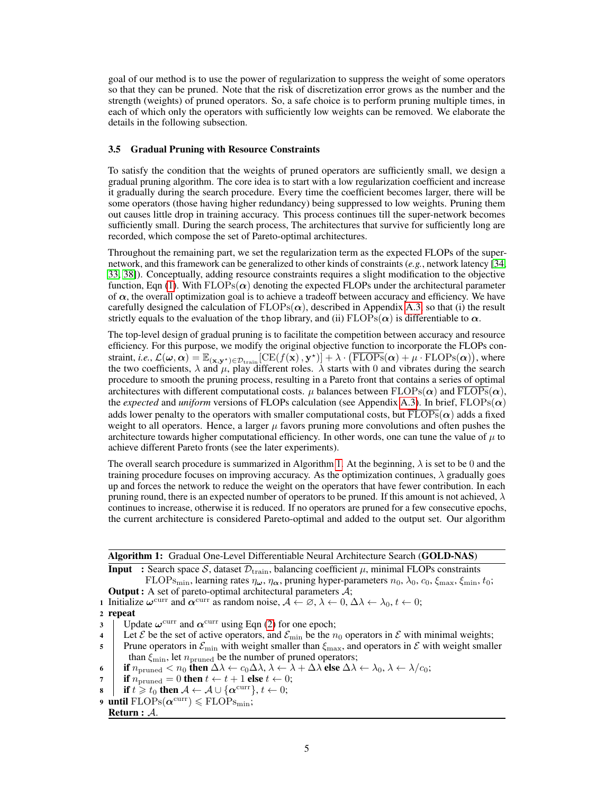goal of our method is to use the power of regularization to suppress the weight of some operators so that they can be pruned. Note that the risk of discretization error grows as the number and the strength (weights) of pruned operators. So, a safe choice is to perform pruning multiple times, in each of which only the operators with sufficiently low weights can be removed. We elaborate the details in the following subsection.

#### <span id="page-4-0"></span>3.5 Gradual Pruning with Resource Constraints

To satisfy the condition that the weights of pruned operators are sufficiently small, we design a gradual pruning algorithm. The core idea is to start with a low regularization coefficient and increase it gradually during the search procedure. Every time the coefficient becomes larger, there will be some operators (those having higher redundancy) being suppressed to low weights. Pruning them out causes little drop in training accuracy. This process continues till the super-network becomes sufficiently small. During the search process, The architectures that survive for sufficiently long are recorded, which compose the set of Pareto-optimal architectures.

Throughout the remaining part, we set the regularization term as the expected FLOPs of the supernetwork, and this framework can be generalized to other kinds of constraints (*e.g.*, network latency [\[34,](#page-9-20) [33,](#page-9-19) [38\]](#page-10-6)). Conceptually, adding resource constraints requires a slight modification to the objective function, Eqn [\(1\)](#page-3-3). With  $FLOPs(\alpha)$  denoting the expected FLOPs under the architectural parameter of  $\alpha$ , the overall optimization goal is to achieve a tradeoff between accuracy and efficiency. We have carefully designed the calculation of  $FLOPs(\alpha)$ , described in Appendix [A.3,](#page-10-7) so that (i) the result strictly equals to the evaluation of the thop library, and (ii)  $FLOPs(\alpha)$  is differentiable to  $\alpha$ .

The top-level design of gradual pruning is to facilitate the competition between accuracy and resource efficiency. For this purpose, we modify the original objective function to incorporate the FLOPs constraint, *i.e.*,  $\mathcal{L}(\boldsymbol{\omega},\boldsymbol{\alpha})=\mathbb{E}_{(\mathbf{x},\mathbf{y}^\star)\in \mathcal{D}_\mathrm{train}}[\mathrm{CE}(f(\mathbf{x}),\mathbf{y}^\star)]+\lambda\cdot \big(\overline{\mathrm{FLOPs}}(\boldsymbol{\alpha})+\mu\cdot \mathrm{FLOPs}(\boldsymbol{\alpha})\big),$  where the two coefficients,  $\lambda$  and  $\mu$ , play different roles.  $\lambda$  starts with 0 and vibrates during the search procedure to smooth the pruning process, resulting in a Pareto front that contains a series of optimal architectures with different computational costs.  $\mu$  balances between FLOPs( $\alpha$ ) and  $\overline{\text{FLOPs}}(\alpha)$ , the *expected* and *uniform* versions of FLOPs calculation (see Appendix [A.3\)](#page-10-7). In brief,  $FLOPs(\alpha)$ adds lower penalty to the operators with smaller computational costs, but  $\overline{FLOPs}(\alpha)$  adds a fixed weight to all operators. Hence, a larger  $\mu$  favors pruning more convolutions and often pushes the architecture towards higher computational efficiency. In other words, one can tune the value of  $\mu$  to achieve different Pareto fronts (see the later experiments).

The overall search procedure is summarized in Algorithm [1.](#page-4-1) At the beginning,  $\lambda$  is set to be 0 and the training procedure focuses on improving accuracy. As the optimization continues,  $\lambda$  gradually goes up and forces the network to reduce the weight on the operators that have fewer contribution. In each pruning round, there is an expected number of operators to be pruned. If this amount is not achieved,  $\lambda$ continues to increase, otherwise it is reduced. If no operators are pruned for a few consecutive epochs, the current architecture is considered Pareto-optimal and added to the output set. Our algorithm

|  |  |  | Algorithm 1: Gradual One-Level Differentiable Neural Architecture Search (GOLD-NAS) |  |  |  |  |
|--|--|--|-------------------------------------------------------------------------------------|--|--|--|--|
|--|--|--|-------------------------------------------------------------------------------------|--|--|--|--|

**Input** : Search space S, dataset  $\mathcal{D}_{\text{train}}$ , balancing coefficient  $\mu$ , minimal FLOPs constraints FLOPs<sub>min</sub>, learning rates  $\eta_{\omega}$ ,  $\eta_{\alpha}$ , pruning hyper-parameters  $n_0$ ,  $\lambda_0$ ,  $c_0$ ,  $\xi_{\text{max}}$ ,  $\xi_{\text{min}}$ ,  $t_0$ ; Output : A set of pareto-optimal architectural parameters A;

1 Initialize  $\omega^{\text{curr}}$  and  $\alpha^{\text{curr}}$  as random noise,  $\mathcal{A} \leftarrow \emptyset$ ,  $\lambda \leftarrow 0$ ,  $\Delta \lambda \leftarrow \lambda_0$ ,  $t \leftarrow 0$ ;

- 3 C Update  $\omega^{\text{curr}}$  and  $\alpha^{\text{curr}}$  using Eqn [\(2\)](#page-3-4) for one epoch;
- 4 Let  $\mathcal E$  be the set of active operators, and  $\mathcal E_{\min}$  be the  $n_0$  operators in  $\mathcal E$  with minimal weights;

5 Prune operators in  $\mathcal{E}_{\text{min}}$  with weight smaller than  $\xi_{\text{max}}$ , and operators in  $\mathcal{E}$  with weight smaller than  $\xi_{\text{min}}$ , let  $n_{\text{pruned}}$  be the number of pruned operators;

- 6 if  $n_{\text{pruned}} < n_0$  then  $\Delta\lambda \leftarrow c_0 \Delta\lambda$ ,  $\lambda \leftarrow \lambda + \Delta\lambda$  else  $\Delta\lambda \leftarrow \lambda_0$ ,  $\lambda \leftarrow \lambda/c_0$ ;
- 7 if  $n_{\text{pruned}} = 0$  then  $t \leftarrow t + 1$  else  $t \leftarrow 0$ ;
- 8 if  $t \geq t_0$  then  $A \leftarrow A \cup \{\boldsymbol{\alpha}^{\text{curr}}\}, t \leftarrow 0;$
- 9 until  $\text{FLOPs}(\boldsymbol{\alpha}^{\text{curr}}) \leqslant \text{FLOPs}_{\text{min}};$

<span id="page-4-1"></span>Return : A.

<sup>2</sup> repeat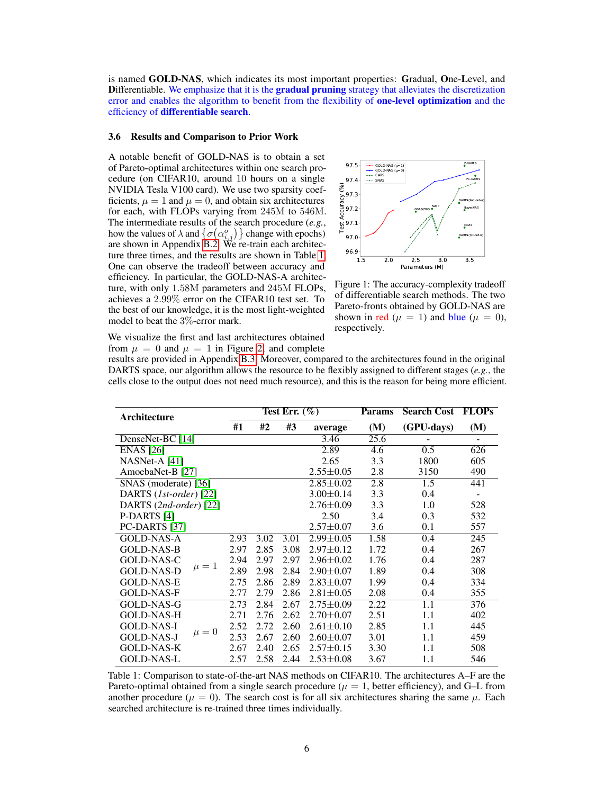is named GOLD-NAS, which indicates its most important properties: Gradual, One-Level, and **Differentiable.** We emphasize that it is the **gradual pruning** strategy that alleviates the discretization error and enables the algorithm to benefit from the flexibility of **one-level optimization** and the efficiency of differentiable search.

### 3.6 Results and Comparison to Prior Work

A notable benefit of GOLD-NAS is to obtain a set of Pareto-optimal architectures within one search procedure (on CIFAR10, around 10 hours on a single NVIDIA Tesla V100 card). We use two sparsity coefficients,  $\mu = 1$  and  $\mu = 0$ , and obtain six architectures for each, with FLOPs varying from 245M to 546M. The intermediate results of the search procedure (*e.g.*, how the values of  $\lambda$  and  $\{\sigma(\alpha_{i,j}^o)\}\)$  change with epochs) are shown in Appendix [B.2.](#page-11-1) We re-train each architecture three times, and the results are shown in Table [1.](#page-5-0) One can observe the tradeoff between accuracy and efficiency. In particular, the GOLD-NAS-A architecture, with only 1.58M parameters and 245M FLOPs, achieves a 2.99% error on the CIFAR10 test set. To the best of our knowledge, it is the most light-weighted model to beat the 3%-error mark.

<span id="page-5-1"></span>

Figure 1: The accuracy-complexity tradeoff of differentiable search methods. The two Pareto-fronts obtained by GOLD-NAS are shown in red ( $\mu = 1$ ) and blue ( $\mu = 0$ ), respectively.

We visualize the first and last architectures obtained from  $\mu = 0$  and  $\mu = 1$  in Figure [2,](#page-6-0) and complete

results are provided in Appendix [B.3.](#page-12-0) Moreover, compared to the architectures found in the original DARTS space, our algorithm allows the resource to be flexibly assigned to different stages (*e.g.*, the cells close to the output does not need much resource), and this is the reason for being more efficient.

<span id="page-5-0"></span>

| Architecture                   | Test Err. $(\%)$ |      |      |                 | <b>Params</b> | <b>Search Cost</b> | <b>FLOPs</b>             |
|--------------------------------|------------------|------|------|-----------------|---------------|--------------------|--------------------------|
|                                | #1               | #2   | #3   | average         | (M)           | (GPU-days)         | (M)                      |
| DenseNet-BC [14]               |                  |      |      | 3.46            | 25.6          |                    | $\overline{\phantom{0}}$ |
| <b>ENAS</b> [26]               |                  |      |      | 2.89            | 4.6           | 0.5                | 626                      |
| NASNet-A [41]                  |                  |      |      | 2.65            | 3.3           | 1800               | 605                      |
| AmoebaNet-B [27]               |                  |      |      | $2.55 \pm 0.05$ | 2.8           | 3150               | 490                      |
| SNAS (moderate) [36]           |                  |      |      | $2.85 \pm 0.02$ | 2.8           | 1.5                | 441                      |
| DARTS (1st-order) [22]         |                  |      |      | $3.00 \pm 0.14$ | 3.3           | 0.4                |                          |
| DARTS (2nd-order) [22]         |                  |      |      | $2.76 \pm 0.09$ | 3.3           | 1.0                | 528                      |
| P-DARTS [4]                    |                  |      |      | 2.50            | 3.4           | 0.3                | 532                      |
| PC-DARTS [37]                  |                  |      |      | $2.57 \pm 0.07$ | 3.6           | 0.1                | 557                      |
| <b>GOLD-NAS-A</b>              | 2.93             | 3.02 | 3.01 | $2.99 \pm 0.05$ | 1.58          | 0.4                | 245                      |
| <b>GOLD-NAS-B</b>              | 2.97             | 2.85 | 3.08 | $2.97 \pm 0.12$ | 1.72          | 0.4                | 267                      |
| GOLD-NAS-C                     | 2.94             | 2.97 | 2.97 | $2.96 \pm 0.02$ | 1.76          | 0.4                | 287                      |
| $\mu=1$<br><b>GOLD-NAS-D</b>   | 2.89             | 2.98 | 2.84 | $2.90 \pm 0.07$ | 1.89          | 0.4                | 308                      |
| <b>GOLD-NAS-E</b>              | 2.75             | 2.86 | 2.89 | $2.83 \pm 0.07$ | 1.99          | 0.4                | 334                      |
| <b>GOLD-NAS-F</b>              | 2.77             | 2.79 | 2.86 | $2.81 \pm 0.05$ | 2.08          | 0.4                | 355                      |
| GOLD-NAS-G                     | 2.73             | 2.84 | 2.67 | $2.75 \pm 0.09$ | 2.22          | 1.1                | 376                      |
| <b>GOLD-NAS-H</b>              | 2.71             | 2.76 | 2.62 | $2.70 + 0.07$   | 2.51          | 1.1                | 402                      |
| GOLD-NAS-I                     | 2.52             | 2.72 | 2.60 | $2.61 \pm 0.10$ | 2.85          | 1.1                | 445                      |
| $\mu = 0$<br><b>GOLD-NAS-J</b> | 2.53             | 2.67 | 2.60 | $2.60 \pm 0.07$ | 3.01          | 1.1                | 459                      |
| <b>GOLD-NAS-K</b>              | 2.67             | 2.40 | 2.65 | $2.57 \pm 0.15$ | 3.30          | 1.1                | 508                      |
| <b>GOLD-NAS-L</b>              | 2.57             | 2.58 | 2.44 | $2.53 \pm 0.08$ | 3.67          | 1.1                | 546                      |

Table 1: Comparison to state-of-the-art NAS methods on CIFAR10. The architectures A–F are the Pareto-optimal obtained from a single search procedure ( $\mu = 1$ , better efficiency), and G–L from another procedure ( $\mu = 0$ ). The search cost is for all six architectures sharing the same  $\mu$ . Each searched architecture is re-trained three times individually.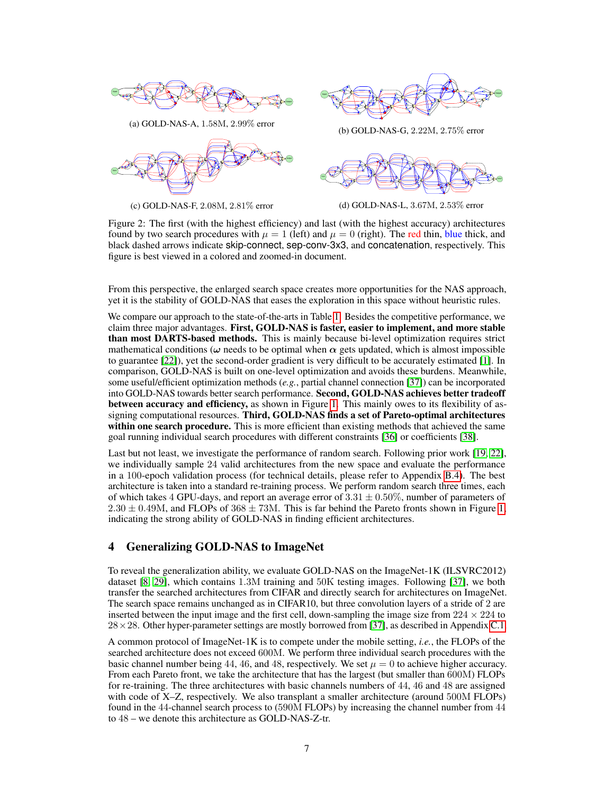<span id="page-6-0"></span>

(a) GOLD-NAS-A, 1.58M, 2.99% error





 $\frac{1}{2}$  Output  $\frac{1}{2}$  Output Output Output  $\frac{1}{2}$ 

(b) GOLD-NAS-G, 2.22M, 2.75% error



(d) GOLD-NAS-L, 3.67M, 2.53% error

Figure 2: The first (with the highest efficiency) and last (with the highest accuracy) architectures found by two search procedures with  $\mu = 1$  (left) and  $\mu = 0$  (right). The red thin, blue thick, and black dashed arrows indicate skip-connect, sep-conv-3x3, and concatenation, respectively. This figure is best viewed in a colored and zoomed-in document.

From this perspective, the enlarged search space creates more opportunities for the NAS approach, yet it is the stability of GOLD-NAS that eases the exploration in this space without heuristic rules.

We compare our approach to the state-of-the-arts in Table [1.](#page-5-0) Besides the competitive performance, we claim three major advantages. First, GOLD-NAS is faster, easier to implement, and more stable than most DARTS-based methods. This is mainly because bi-level optimization requires strict mathematical conditions ( $\omega$  needs to be optimal when  $\alpha$  gets updated, which is almost impossible to guarantee [\[22\]](#page-9-4)), yet the second-order gradient is very difficult to be accurately estimated [\[1\]](#page-8-2). In comparison, GOLD-NAS is built on one-level optimization and avoids these burdens. Meanwhile, some useful/efficient optimization methods (*e.g.*, partial channel connection [\[37\]](#page-10-3)) can be incorporated into GOLD-NAS towards better search performance. Second, GOLD-NAS achieves better tradeoff between accuracy and efficiency, as shown in Figure [1.](#page-5-1) This mainly owes to its flexibility of assigning computational resources. Third, GOLD-NAS finds a set of Pareto-optimal architectures within one search procedure. This is more efficient than existing methods that achieved the same goal running individual search procedures with different constraints [\[36\]](#page-9-22) or coefficients [\[38\]](#page-10-6).

Last but not least, we investigate the performance of random search. Following prior work [\[19,](#page-9-23) [22\]](#page-9-4), we individually sample 24 valid architectures from the new space and evaluate the performance in a 100-epoch validation process (for technical details, please refer to Appendix [B.4\)](#page-12-1). The best architecture is taken into a standard re-training process. We perform random search three times, each of which takes 4 GPU-days, and report an average error of  $3.31 \pm 0.50\%$ , number of parameters of  $2.30 \pm 0.49$ M, and FLOPs of  $368 \pm 73$ M. This is far behind the Pareto fronts shown in Figure [1,](#page-5-1) indicating the strong ability of GOLD-NAS in finding efficient architectures.

### 4 Generalizing GOLD-NAS to ImageNet

To reveal the generalization ability, we evaluate GOLD-NAS on the ImageNet-1K (ILSVRC2012) dataset [\[8,](#page-8-8) [29\]](#page-9-24), which contains 1.3M training and 50K testing images. Following [\[37\]](#page-10-3), we both transfer the searched architectures from CIFAR and directly search for architectures on ImageNet. The search space remains unchanged as in CIFAR10, but three convolution layers of a stride of 2 are inserted between the input image and the first cell, down-sampling the image size from  $224 \times 224$  to  $28 \times 28$ . Other hyper-parameter settings are mostly borrowed from [\[37\]](#page-10-3), as described in Appendix [C.1.](#page-13-0)

A common protocol of ImageNet-1K is to compete under the mobile setting, *i.e.*, the FLOPs of the searched architecture does not exceed 600M. We perform three individual search procedures with the basic channel number being 44, 46, and 48, respectively. We set  $\mu = 0$  to achieve higher accuracy. From each Pareto front, we take the architecture that has the largest (but smaller than 600M) FLOPs for re-training. The three architectures with basic channels numbers of 44, 46 and 48 are assigned with code of X–Z, respectively. We also transplant a smaller architecture (around 500M FLOPs) found in the 44-channel search process to (590M FLOPs) by increasing the channel number from 44 to 48 – we denote this architecture as GOLD-NAS-Z-tr.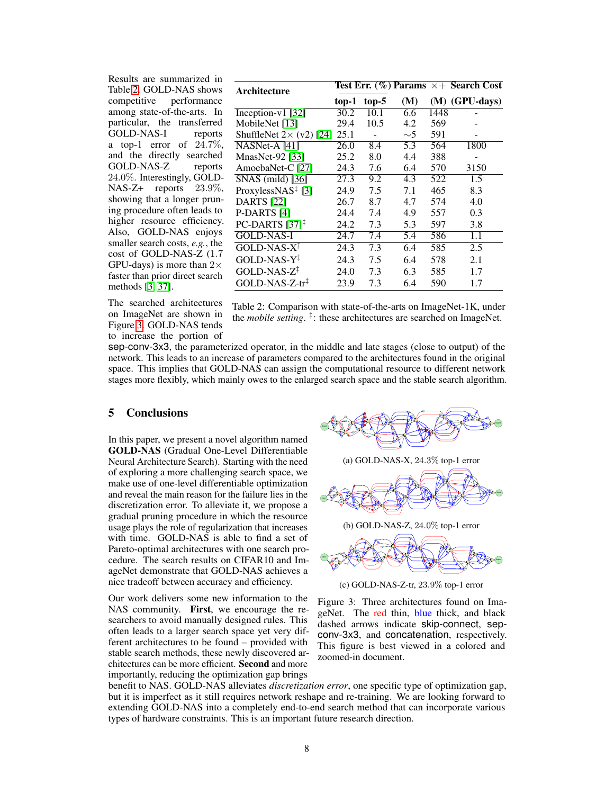Results are summarized in Table [2.](#page-7-0) GOLD-NAS shows<br>competitive performance performance among state-of-the-arts. In particular, the transferred GOLD-NAS-I reports a top-1 error of  $24.7\%$ , and the directly searched GOLD-NAS-Z reports 24.0%. Interestingly, GOLD-NAS-Z+ reports 23.9%, showing that a longer pruning procedure often leads to higher resource efficiency. Also, GOLD-NAS enjoys smaller search costs, *e.g.*, the cost of GOLD-NAS-Z (1.7 GPU-days) is more than  $2\times$ faster than prior direct search methods [\[3,](#page-8-7) [37\]](#page-10-3).

The searched architectures on ImageNet are shown in Figure [3.](#page-7-1) GOLD-NAS tends to increase the portion of

<span id="page-7-0"></span>

| top-1                                   | $top-5$ | (M)      |      | $(M)$ (GPU-days)                                      |
|-----------------------------------------|---------|----------|------|-------------------------------------------------------|
| 30.2                                    | 10.1    | 6.6      | 1448 |                                                       |
| 29.4                                    | 10.5    | 4.2      | 569  |                                                       |
| ShuffleNet $2 \times (v2)$ [24]<br>25.1 |         | $\sim$ 5 | 591  |                                                       |
| 26.0                                    | 8.4     | 5.3      | 564  | 1800                                                  |
| 25.2                                    | 8.0     | 4.4      | 388  |                                                       |
| 24.3                                    | 7.6     | 6.4      | 570  | 3150                                                  |
| 27.3                                    | 9.2     | 4.3      | 522  | 1.5                                                   |
| 24.9                                    | 7.5     | 7.1      | 465  | 8.3                                                   |
| 26.7                                    | 8.7     | 4.7      | 574  | 4.0                                                   |
| 24.4                                    | 7.4     | 4.9      | 557  | 0.3                                                   |
| 24.2                                    | 7.3     | 5.3      | 597  | 3.8                                                   |
| 24.7                                    | 7.4     | 5.4      | 586  | 1.1                                                   |
| 24.3                                    | 7.3     | 6.4      | 585  | 2.5                                                   |
| 24.3                                    | 7.5     | 6.4      | 578  | 2.1                                                   |
| 24.0                                    | 7.3     | 6.3      | 585  | 1.7                                                   |
| 23.9                                    | 7.3     | 6.4      | 590  | 1.7                                                   |
|                                         |         |          |      | <b>Test Err.</b> $(\%)$ Params $\times$ + Search Cost |

Table 2: Comparison with state-of-the-arts on ImageNet-1K, under the *mobile setting*. ‡ : these architectures are searched on ImageNet.

sep-conv-3x3, the parameterized operator, in the middle and late stages (close to output) of the network. This leads to an increase of parameters compared to the architectures found in the original space. This implies that GOLD-NAS can assign the computational resource to different network stages more flexibly, which mainly owes to the enlarged search space and the stable search algorithm.

## 5 Conclusions

In this paper, we present a novel algorithm named GOLD-NAS (Gradual One-Level Differentiable Neural Architecture Search). Starting with the need of exploring a more challenging search space, we make use of one-level differentiable optimization and reveal the main reason for the failure lies in the discretization error. To alleviate it, we propose a gradual pruning procedure in which the resource usage plays the role of regularization that increases with time. GOLD-NAS is able to find a set of Pareto-optimal architectures with one search procedure. The search results on CIFAR10 and ImageNet demonstrate that GOLD-NAS achieves a nice tradeoff between accuracy and efficiency.

Our work delivers some new information to the NAS community. First, we encourage the researchers to avoid manually designed rules. This often leads to a larger search space yet very different architectures to be found – provided with stable search methods, these newly discovered architectures can be more efficient. Second and more importantly, reducing the optimization gap brings



(a) GOLD-NAS-X, 24.3% top-1 error

<span id="page-7-1"></span>

(c) GOLD-NAS-Z-tr, 23.9% top-1 error

Output

Figure 3: Three architectures found on ImageNet. The red thin, blue thick, and black dashed arrows indicate skip-connect, sepconv-3x3, and concatenation, respectively. This figure is best viewed in a colored and zoomed-in document.

benefit to NAS. GOLD-NAS alleviates *discretization error*, one specific type of optimization gap, but it is imperfect as it still requires network reshape and re-training. We are looking forward to extending GOLD-NAS into a completely end-to-end search method that can incorporate various types of hardware constraints. This is an important future research direction.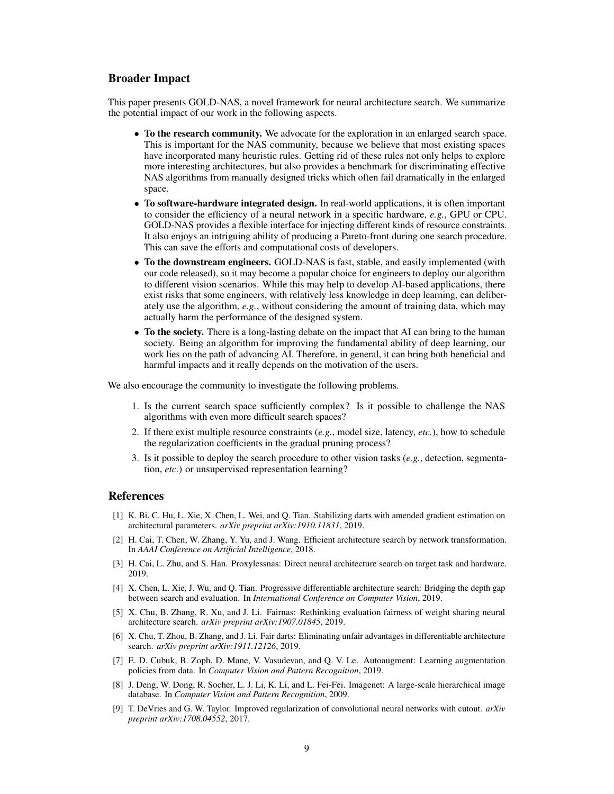### Broader Impact

This paper presents GOLD-NAS, a novel framework for neural architecture search. We summarize the potential impact of our work in the following aspects.

- To the research community. We advocate for the exploration in an enlarged search space. This is important for the NAS community, because we believe that most existing spaces have incorporated many heuristic rules. Getting rid of these rules not only helps to explore more interesting architectures, but also provides a benchmark for discriminating effective NAS algorithms from manually designed tricks which often fail dramatically in the enlarged space.
- To software-hardware integrated design. In real-world applications, it is often important to consider the efficiency of a neural network in a specific hardware, *e.g.*, GPU or CPU. GOLD-NAS provides a flexible interface for injecting different kinds of resource constraints. It also enjoys an intriguing ability of producing a Pareto-front during one search procedure. This can save the efforts and computational costs of developers.
- To the downstream engineers. GOLD-NAS is fast, stable, and easily implemented (with our code released), so it may become a popular choice for engineers to deploy our algorithm to different vision scenarios. While this may help to develop AI-based applications, there exist risks that some engineers, with relatively less knowledge in deep learning, can deliberately use the algorithm, *e.g.*, without considering the amount of training data, which may actually harm the performance of the designed system.
- To the society. There is a long-lasting debate on the impact that AI can bring to the human society. Being an algorithm for improving the fundamental ability of deep learning, our work lies on the path of advancing AI. Therefore, in general, it can bring both beneficial and harmful impacts and it really depends on the motivation of the users.

We also encourage the community to investigate the following problems.

- 1. Is the current search space sufficiently complex? Is it possible to challenge the NAS algorithms with even more difficult search spaces?
- 2. If there exist multiple resource constraints (*e.g.*, model size, latency, *etc.*), how to schedule the regularization coefficients in the gradual pruning process?
- 3. Is it possible to deploy the search procedure to other vision tasks (*e.g.*, detection, segmentation, *etc.*) or unsupervised representation learning?

### References

- <span id="page-8-2"></span>[1] K. Bi, C. Hu, L. Xie, X. Chen, L. Wei, and Q. Tian. Stabilizing darts with amended gradient estimation on architectural parameters. *arXiv preprint arXiv:1910.11831*, 2019.
- <span id="page-8-0"></span>[2] H. Cai, T. Chen, W. Zhang, Y. Yu, and J. Wang. Efficient architecture search by network transformation. In *AAAI Conference on Artificial Intelligence*, 2018.
- <span id="page-8-7"></span>[3] H. Cai, L. Zhu, and S. Han. Proxylessnas: Direct neural architecture search on target task and hardware. 2019.
- <span id="page-8-1"></span>[4] X. Chen, L. Xie, J. Wu, and Q. Tian. Progressive differentiable architecture search: Bridging the depth gap between search and evaluation. In *International Conference on Computer Vision*, 2019.
- <span id="page-8-3"></span>[5] X. Chu, B. Zhang, R. Xu, and J. Li. Fairnas: Rethinking evaluation fairness of weight sharing neural architecture search. *arXiv preprint arXiv:1907.01845*, 2019.
- <span id="page-8-4"></span>[6] X. Chu, T. Zhou, B. Zhang, and J. Li. Fair darts: Eliminating unfair advantages in differentiable architecture search. *arXiv preprint arXiv:1911.12126*, 2019.
- <span id="page-8-6"></span>[7] E. D. Cubuk, B. Zoph, D. Mane, V. Vasudevan, and Q. V. Le. Autoaugment: Learning augmentation policies from data. In *Computer Vision and Pattern Recognition*, 2019.
- <span id="page-8-8"></span>[8] J. Deng, W. Dong, R. Socher, L. J. Li, K. Li, and L. Fei-Fei. Imagenet: A large-scale hierarchical image database. In *Computer Vision and Pattern Recognition*, 2009.
- <span id="page-8-5"></span>[9] T. DeVries and G. W. Taylor. Improved regularization of convolutional neural networks with cutout. *arXiv preprint arXiv:1708.04552*, 2017.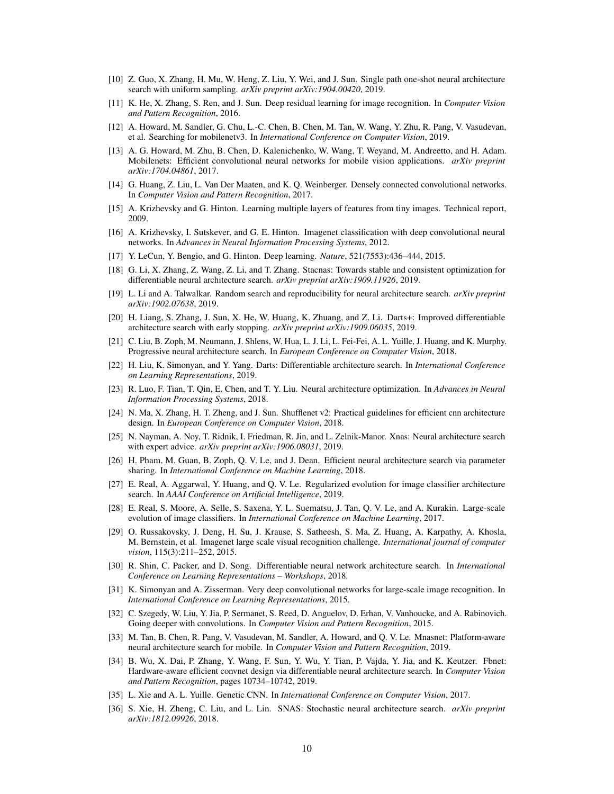- <span id="page-9-15"></span>[10] Z. Guo, X. Zhang, H. Mu, W. Heng, Z. Liu, Y. Wei, and J. Sun. Single path one-shot neural architecture search with uniform sampling. *arXiv preprint arXiv:1904.00420*, 2019.
- <span id="page-9-10"></span>[11] K. He, X. Zhang, S. Ren, and J. Sun. Deep residual learning for image recognition. In *Computer Vision and Pattern Recognition*, 2016.
- <span id="page-9-12"></span>[12] A. Howard, M. Sandler, G. Chu, L.-C. Chen, B. Chen, M. Tan, W. Wang, Y. Zhu, R. Pang, V. Vasudevan, et al. Searching for mobilenetv3. In *International Conference on Computer Vision*, 2019.
- <span id="page-9-25"></span>[13] A. G. Howard, M. Zhu, B. Chen, D. Kalenichenko, W. Wang, T. Weyand, M. Andreetto, and H. Adam. Mobilenets: Efficient convolutional neural networks for mobile vision applications. *arXiv preprint arXiv:1704.04861*, 2017.
- <span id="page-9-11"></span>[14] G. Huang, Z. Liu, L. Van Der Maaten, and K. Q. Weinberger. Densely connected convolutional networks. In *Computer Vision and Pattern Recognition*, 2017.
- <span id="page-9-17"></span>[15] A. Krizhevsky and G. Hinton. Learning multiple layers of features from tiny images. Technical report, 2009.
- <span id="page-9-7"></span>[16] A. Krizhevsky, I. Sutskever, and G. E. Hinton. Imagenet classification with deep convolutional neural networks. In *Advances in Neural Information Processing Systems*, 2012.
- <span id="page-9-0"></span>[17] Y. LeCun, Y. Bengio, and G. Hinton. Deep learning. *Nature*, 521(7553):436–444, 2015.
- <span id="page-9-16"></span>[18] G. Li, X. Zhang, Z. Wang, Z. Li, and T. Zhang. Stacnas: Towards stable and consistent optimization for differentiable neural architecture search. *arXiv preprint arXiv:1909.11926*, 2019.
- <span id="page-9-23"></span>[19] L. Li and A. Talwalkar. Random search and reproducibility for neural architecture search. *arXiv preprint arXiv:1902.07638*, 2019.
- <span id="page-9-6"></span>[20] H. Liang, S. Zhang, J. Sun, X. He, W. Huang, K. Zhuang, and Z. Li. Darts+: Improved differentiable architecture search with early stopping. *arXiv preprint arXiv:1909.06035*, 2019.
- <span id="page-9-2"></span>[21] C. Liu, B. Zoph, M. Neumann, J. Shlens, W. Hua, L. J. Li, L. Fei-Fei, A. L. Yuille, J. Huang, and K. Murphy. Progressive neural architecture search. In *European Conference on Computer Vision*, 2018.
- <span id="page-9-4"></span>[22] H. Liu, K. Simonyan, and Y. Yang. Darts: Differentiable architecture search. In *International Conference on Learning Representations*, 2019.
- <span id="page-9-14"></span>[23] R. Luo, F. Tian, T. Qin, E. Chen, and T. Y. Liu. Neural architecture optimization. In *Advances in Neural Information Processing Systems*, 2018.
- <span id="page-9-26"></span>[24] N. Ma, X. Zhang, H. T. Zheng, and J. Sun. Shufflenet v2: Practical guidelines for efficient cnn architecture design. In *European Conference on Computer Vision*, 2018.
- <span id="page-9-18"></span>[25] N. Nayman, A. Noy, T. Ridnik, I. Friedman, R. Jin, and L. Zelnik-Manor. Xnas: Neural architecture search with expert advice. *arXiv preprint arXiv:1906.08031*, 2019.
- <span id="page-9-3"></span>[26] H. Pham, M. Guan, B. Zoph, O. V. Le, and J. Dean. Efficient neural architecture search via parameter sharing. In *International Conference on Machine Learning*, 2018.
- <span id="page-9-21"></span>[27] E. Real, A. Aggarwal, Y. Huang, and Q. V. Le. Regularized evolution for image classifier architecture search. In *AAAI Conference on Artificial Intelligence*, 2019.
- <span id="page-9-1"></span>[28] E. Real, S. Moore, A. Selle, S. Saxena, Y. L. Suematsu, J. Tan, Q. V. Le, and A. Kurakin. Large-scale evolution of image classifiers. In *International Conference on Machine Learning*, 2017.
- <span id="page-9-24"></span>[29] O. Russakovsky, J. Deng, H. Su, J. Krause, S. Satheesh, S. Ma, Z. Huang, A. Karpathy, A. Khosla, M. Bernstein, et al. Imagenet large scale visual recognition challenge. *International journal of computer vision*, 115(3):211–252, 2015.
- <span id="page-9-5"></span>[30] R. Shin, C. Packer, and D. Song. Differentiable neural network architecture search. In *International Conference on Learning Representations – Workshops*, 2018.
- <span id="page-9-8"></span>[31] K. Simonyan and A. Zisserman. Very deep convolutional networks for large-scale image recognition. In *International Conference on Learning Representations*, 2015.
- <span id="page-9-9"></span>[32] C. Szegedy, W. Liu, Y. Jia, P. Sermanet, S. Reed, D. Anguelov, D. Erhan, V. Vanhoucke, and A. Rabinovich. Going deeper with convolutions. In *Computer Vision and Pattern Recognition*, 2015.
- <span id="page-9-19"></span>[33] M. Tan, B. Chen, R. Pang, V. Vasudevan, M. Sandler, A. Howard, and Q. V. Le. Mnasnet: Platform-aware neural architecture search for mobile. In *Computer Vision and Pattern Recognition*, 2019.
- <span id="page-9-20"></span>[34] B. Wu, X. Dai, P. Zhang, Y. Wang, F. Sun, Y. Wu, Y. Tian, P. Vajda, Y. Jia, and K. Keutzer. Fbnet: Hardware-aware efficient convnet design via differentiable neural architecture search. In *Computer Vision and Pattern Recognition*, pages 10734–10742, 2019.
- <span id="page-9-13"></span>[35] L. Xie and A. L. Yuille. Genetic CNN. In *International Conference on Computer Vision*, 2017.
- <span id="page-9-22"></span>[36] S. Xie, H. Zheng, C. Liu, and L. Lin. SNAS: Stochastic neural architecture search. *arXiv preprint arXiv:1812.09926*, 2018.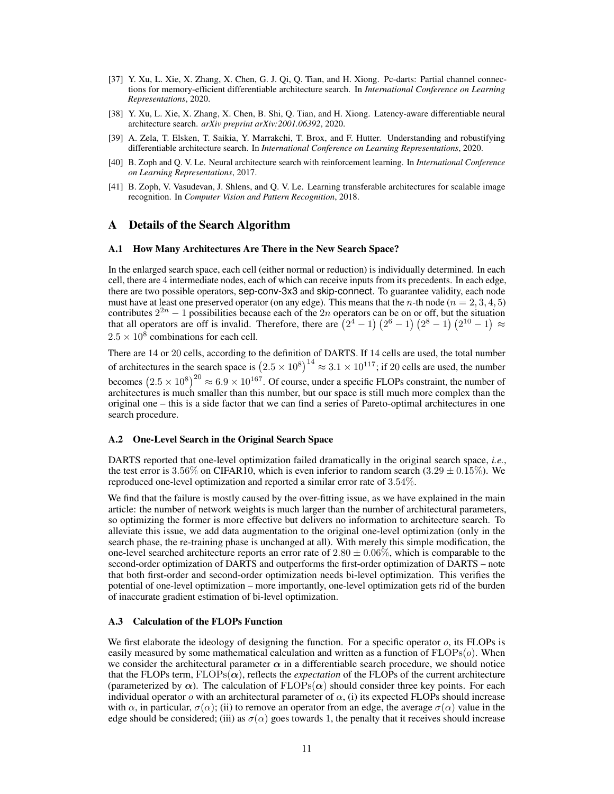- <span id="page-10-3"></span>[37] Y. Xu, L. Xie, X. Zhang, X. Chen, G. J. Qi, Q. Tian, and H. Xiong. Pc-darts: Partial channel connections for memory-efficient differentiable architecture search. In *International Conference on Learning Representations*, 2020.
- <span id="page-10-6"></span>[38] Y. Xu, L. Xie, X. Zhang, X. Chen, B. Shi, Q. Tian, and H. Xiong. Latency-aware differentiable neural architecture search. *arXiv preprint arXiv:2001.06392*, 2020.
- <span id="page-10-2"></span>[39] A. Zela, T. Elsken, T. Saikia, Y. Marrakchi, T. Brox, and F. Hutter. Understanding and robustifying differentiable architecture search. In *International Conference on Learning Representations*, 2020.
- <span id="page-10-0"></span>[40] B. Zoph and Q. V. Le. Neural architecture search with reinforcement learning. In *International Conference on Learning Representations*, 2017.
- <span id="page-10-1"></span>[41] B. Zoph, V. Vasudevan, J. Shlens, and Q. V. Le. Learning transferable architectures for scalable image recognition. In *Computer Vision and Pattern Recognition*, 2018.

### A Details of the Search Algorithm

#### <span id="page-10-4"></span>A.1 How Many Architectures Are There in the New Search Space?

In the enlarged search space, each cell (either normal or reduction) is individually determined. In each cell, there are 4 intermediate nodes, each of which can receive inputs from its precedents. In each edge, there are two possible operators, sep-conv-3x3 and skip-connect. To guarantee validity, each node must have at least one preserved operator (on any edge). This means that the *n*-th node ( $n = 2, 3, 4, 5$ ) contributes  $2^{2n} - 1$  possibilities because each of the  $2n$  operators can be on or off, but the situation that all operators are off is invalid. Therefore, there are  $(2^4 - 1)(2^6 - 1)(2^8 - 1)(2^{10} - 1) \approx$  $2.5 \times 10^8$  combinations for each cell.

There are 14 or 20 cells, according to the definition of DARTS. If 14 cells are used, the total number of architectures in the search space is  $(2.5 \times 10^8)^{14} \approx 3.1 \times 10^{117}$ ; if 20 cells are used, the number becomes  $(2.5 \times 10^8)^{20} \approx 6.9 \times 10^{167}$ . Of course, under a specific FLOPs constraint, the number of architectures is much smaller than this number, but our space is still much more complex than the original one – this is a side factor that we can find a series of Pareto-optimal architectures in one search procedure.

#### <span id="page-10-5"></span>A.2 One-Level Search in the Original Search Space

DARTS reported that one-level optimization failed dramatically in the original search space, *i.e.*, the test error is 3.56% on CIFAR10, which is even inferior to random search  $(3.29 \pm 0.15\%)$ . We reproduced one-level optimization and reported a similar error rate of 3.54%.

We find that the failure is mostly caused by the over-fitting issue, as we have explained in the main article: the number of network weights is much larger than the number of architectural parameters, so optimizing the former is more effective but delivers no information to architecture search. To alleviate this issue, we add data augmentation to the original one-level optimization (only in the search phase, the re-training phase is unchanged at all). With merely this simple modification, the one-level searched architecture reports an error rate of  $2.80 \pm 0.06\%$ , which is comparable to the second-order optimization of DARTS and outperforms the first-order optimization of DARTS – note that both first-order and second-order optimization needs bi-level optimization. This verifies the potential of one-level optimization – more importantly, one-level optimization gets rid of the burden of inaccurate gradient estimation of bi-level optimization.

#### <span id="page-10-7"></span>A.3 Calculation of the FLOPs Function

We first elaborate the ideology of designing the function. For a specific operator  $o$ , its FLOPs is easily measured by some mathematical calculation and written as a function of  $FLOPs(o)$ . When we consider the architectural parameter  $\alpha$  in a differentiable search procedure, we should notice that the FLOPs term,  $FLOPs(\alpha)$ , reflects the *expectation* of the FLOPs of the current architecture (parameterized by  $\alpha$ ). The calculation of  $FLOPs(\alpha)$  should consider three key points. For each individual operator  $\sigma$  with an architectural parameter of  $\alpha$ , (i) its expected FLOPs should increase with  $\alpha$ , in particular,  $\sigma(\alpha)$ ; (ii) to remove an operator from an edge, the average  $\sigma(\alpha)$  value in the edge should be considered; (iii) as  $\sigma(\alpha)$  goes towards 1, the penalty that it receives should increase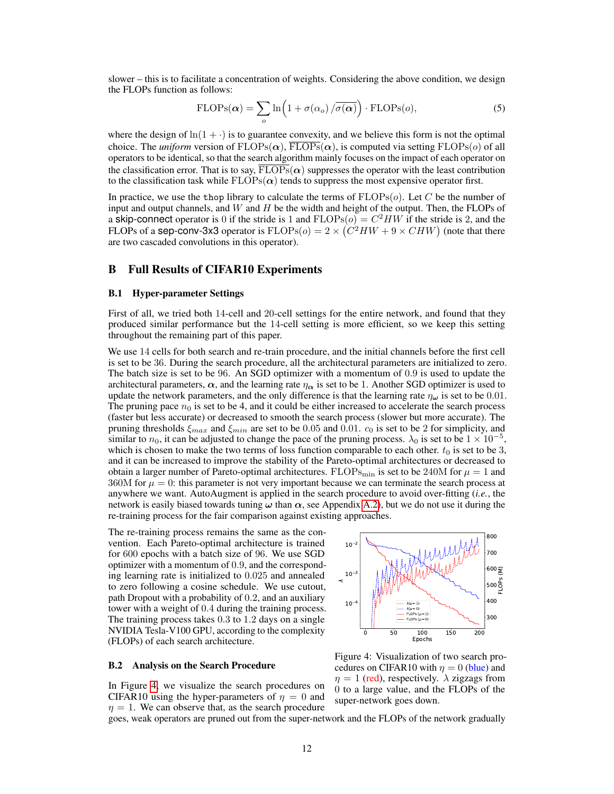slower – this is to facilitate a concentration of weights. Considering the above condition, we design the FLOPs function as follows:

$$
FLOPs(\alpha) = \sum_{o} \ln(1 + \sigma(\alpha_o) / \overline{\sigma(\alpha)}) \cdot FLOPs(o), \qquad (5)
$$

where the design of  $\ln(1 + \cdot)$  is to guarantee convexity, and we believe this form is not the optimal choice. The *uniform* version of  $FLOPs(\alpha)$ ,  $\overline{FLOPs}(\alpha)$ , is computed via setting  $FLOPs(\alpha)$  of all operators to be identical, so that the search algorithm mainly focuses on the impact of each operator on the classification error. That is to say,  $\overline{FLOPs}(\alpha)$  suppresses the operator with the least contribution to the classification task while  $FLOPs(\alpha)$  tends to suppress the most expensive operator first.

In practice, we use the thop library to calculate the terms of  $FLOPs(o)$ . Let C be the number of input and output channels, and  $W$  and  $H$  be the width and height of the output. Then, the FLOPs of a skip-connect operator is 0 if the stride is 1 and  $FLOPs(o) = C^2HW$  if the stride is 2, and the FLOPs of a sep-conv-3x3 operator is  $FLOPs(o) = 2 \times (C^2HW + 9 \times CHW)$  (note that there are two cascaded convolutions in this operator).

### B Full Results of CIFAR10 Experiments

#### <span id="page-11-0"></span>B.1 Hyper-parameter Settings

First of all, we tried both 14-cell and 20-cell settings for the entire network, and found that they produced similar performance but the 14-cell setting is more efficient, so we keep this setting throughout the remaining part of this paper.

We use 14 cells for both search and re-train procedure, and the initial channels before the first cell is set to be 36. During the search procedure, all the architectural parameters are initialized to zero. The batch size is set to be 96. An SGD optimizer with a momentum of 0.9 is used to update the architectural parameters,  $\alpha$ , and the learning rate  $\eta_{\alpha}$  is set to be 1. Another SGD optimizer is used to update the network parameters, and the only difference is that the learning rate  $\eta_{\omega}$  is set to be 0.01. The pruning pace  $n_0$  is set to be 4, and it could be either increased to accelerate the search process (faster but less accurate) or decreased to smooth the search process (slower but more accurate). The pruning thresholds  $\xi_{max}$  and  $\xi_{min}$  are set to be 0.05 and 0.01.  $c_0$  is set to be 2 for simplicity, and similar to  $n_0$ , it can be adjusted to change the pace of the pruning process.  $\lambda_0$  is set to be  $1 \times 10^{-5}$ , which is chosen to make the two terms of loss function comparable to each other.  $t_0$  is set to be 3, and it can be increased to improve the stability of the Pareto-optimal architectures or decreased to obtain a larger number of Pareto-optimal architectures. FLOPs<sub>min</sub> is set to be 240M for  $\mu = 1$  and 360M for  $\mu = 0$ : this parameter is not very important because we can terminate the search process at anywhere we want. AutoAugment is applied in the search procedure to avoid over-fitting (*i.e.*, the network is easily biased towards tuning  $\omega$  than  $\alpha$ , see Appendix [A.2\)](#page-10-5), but we do not use it during the re-training process for the fair comparison against existing approaches.

The re-training process remains the same as the convention. Each Pareto-optimal architecture is trained for 600 epochs with a batch size of 96. We use SGD optimizer with a momentum of 0.9, and the corresponding learning rate is initialized to 0.025 and annealed to zero following a cosine schedule. We use cutout, path Dropout with a probability of 0.2, and an auxiliary tower with a weight of 0.4 during the training process. The training process takes 0.3 to 1.2 days on a single NVIDIA Tesla-V100 GPU, according to the complexity (FLOPs) of each search architecture.

#### <span id="page-11-1"></span>B.2 Analysis on the Search Procedure

In Figure [4,](#page-11-2) we visualize the search procedures on CIFAR10 using the hyper-parameters of  $\eta = 0$  and  $\eta = 1$ . We can observe that, as the search procedure

<span id="page-11-2"></span>

Figure 4: Visualization of two search procedures on CIFAR10 with  $\eta = 0$  (blue) and  $\eta = 1$  (red), respectively.  $\lambda$  zigzags from 0 to a large value, and the FLOPs of the super-network goes down.

goes, weak operators are pruned out from the super-network and the FLOPs of the network gradually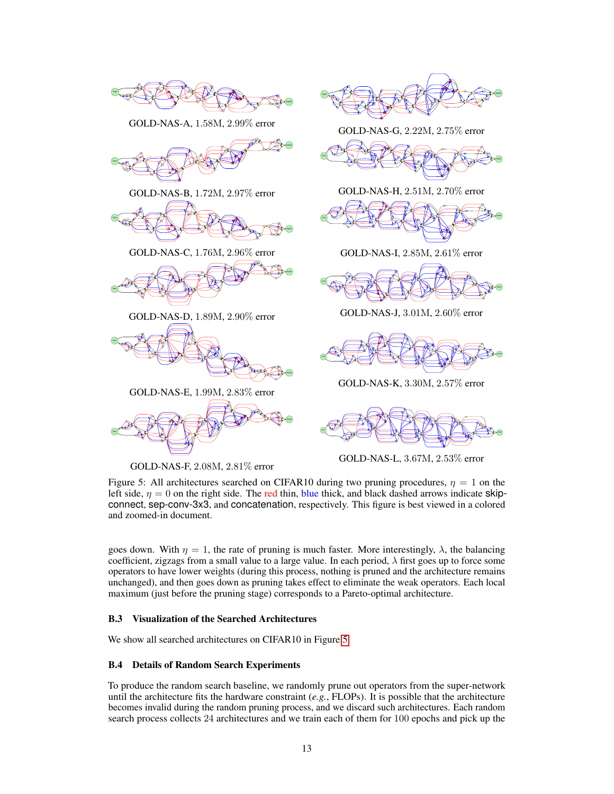<span id="page-12-2"></span>

GOLD-NAS-A, 1.58M, 2.99% error



GOLD-NAS-B, 1.72M, 2.97% error



GOLD-NAS-C, 1.76M, 2.96% error



GOLD-NAS-D, 1.89M, 2.90% error



GOLD-NAS-E, 1.99M, 2.83% error



GOLD-NAS-F, 2.08M, 2.81% error



GOLD-NAS-G, 2.22M, 2.75% error



GOLD-NAS-H, 2.51M, 2.70% error



GOLD-NAS-I, 2.85M, 2.61% error



GOLD-NAS-J, 3.01M, 2.60% error



GOLD-NAS-K, 3.30M, 2.57% error



GOLD-NAS-L, 3.67M, 2.53% error

Figure 5: All architectures searched on CIFAR10 during two pruning procedures,  $\eta = 1$  on the left side,  $\eta = 0$  on the right side. The red thin, blue thick, and black dashed arrows indicate skipconnect, sep-conv-3x3, and concatenation, respectively. This figure is best viewed in a colored and zoomed-in document.

goes down. With  $\eta = 1$ , the rate of pruning is much faster. More interestingly,  $\lambda$ , the balancing coefficient, zigzags from a small value to a large value. In each period,  $\lambda$  first goes up to force some operators to have lower weights (during this process, nothing is pruned and the architecture remains unchanged), and then goes down as pruning takes effect to eliminate the weak operators. Each local maximum (just before the pruning stage) corresponds to a Pareto-optimal architecture.

#### <span id="page-12-0"></span>B.3 Visualization of the Searched Architectures

We show all searched architectures on CIFAR10 in Figure [5.](#page-12-2)

### <span id="page-12-1"></span>B.4 Details of Random Search Experiments

To produce the random search baseline, we randomly prune out operators from the super-network until the architecture fits the hardware constraint  $(e.g., FLOPs)$ . It is possible that the architecture becomes invalid during the random pruning process, and we discard such architectures. Each random search process collects 24 architectures and we train each of them for 100 epochs and pick up the